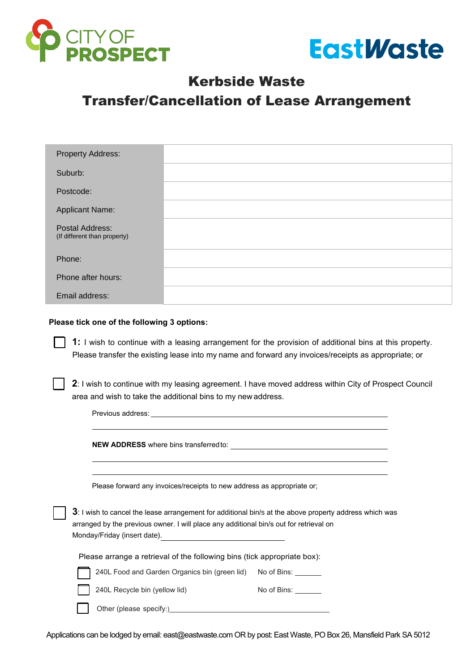



### Kerbside Waste

# Transfer/Cancellation of Lease Arrangement

| <b>Property Address:</b>                        |  |
|-------------------------------------------------|--|
| Suburb:                                         |  |
| Postcode:                                       |  |
| <b>Applicant Name:</b>                          |  |
| Postal Address:<br>(If different than property) |  |
| Phone:                                          |  |
| Phone after hours:                              |  |
| Email address:                                  |  |

#### **Please tick one of the following 3 options:**

**1:** I wish to continue with a leasing arrangement for the provision of additional bins at this property. Please transfer the existing lease into my name and forward any invoices/receipts as appropriate; or

**2**: I wish to continue with my leasing agreement. I have moved address within City of Prospect Council area and wish to take the additional bins to my new address.

Previous address: **NEW ADDRESS** where bins transferred to: Please forward any invoices/receipts to new address as appropriate or; **3**: I wish to cancel the lease arrangement for additional bin/s at the above property address which was arranged by the previous owner. I will place any additional bin/s out for retrieval on Monday/Friday (insert date). Please arrange a retrieval of the following bins (tick appropriate box): 240L Food and Garden Organics bin (green lid) No of Bins: No of Bins: 240L Recycle bin (yellow lid) Other (please specify:)

Applications can be lodged by email: [east@eastwaste.com](mailto: east@eastwaste.com) OR by post: East Waste, PO Box 26, Mansfield Park SA 5012